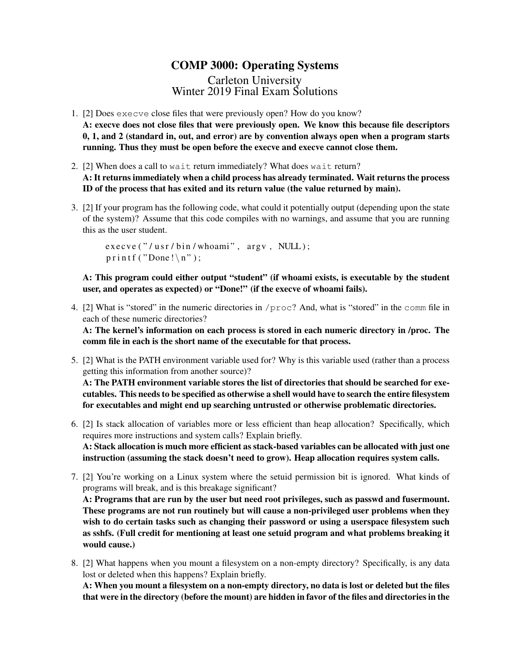## COMP 3000: Operating Systems Carleton University Winter 2019 Final Exam Solutions

- 1. [2] Does execve close files that were previously open? How do you know? A: execve does not close files that were previously open. We know this because file descriptors 0, 1, and 2 (standard in, out, and error) are by convention always open when a program starts running. Thus they must be open before the execve and execve cannot close them.
- 2. [2] When does a call to wait return immediately? What does wait return? A: It returns immediately when a child process has already terminated. Wait returns the process ID of the process that has exited and its return value (the value returned by main).
- 3. [2] If your program has the following code, what could it potentially output (depending upon the state of the system)? Assume that this code compiles with no warnings, and assume that you are running this as the user student.

 $exe cve ("/usr/bin/whoami", argv, NULL);$  $print f('Done! \n\cdot \n)$ ;

A: This program could either output "student" (if whoami exists, is executable by the student user, and operates as expected) or "Done!" (if the execve of whoami fails).

4. [2] What is "stored" in the numeric directories in /proc? And, what is "stored" in the comm file in each of these numeric directories?

A: The kernel's information on each process is stored in each numeric directory in /proc. The comm file in each is the short name of the executable for that process.

5. [2] What is the PATH environment variable used for? Why is this variable used (rather than a process getting this information from another source)?

A: The PATH environment variable stores the list of directories that should be searched for executables. This needs to be specified as otherwise a shell would have to search the entire filesystem for executables and might end up searching untrusted or otherwise problematic directories.

- 6. [2] Is stack allocation of variables more or less efficient than heap allocation? Specifically, which requires more instructions and system calls? Explain briefly. A: Stack allocation is much more efficient as stack-based variables can be allocated with just one instruction (assuming the stack doesn't need to grow). Heap allocation requires system calls.
- 7. [2] You're working on a Linux system where the setuid permission bit is ignored. What kinds of programs will break, and is this breakage significant?

A: Programs that are run by the user but need root privileges, such as passwd and fusermount. These programs are not run routinely but will cause a non-privileged user problems when they wish to do certain tasks such as changing their password or using a userspace filesystem such as sshfs. (Full credit for mentioning at least one setuid program and what problems breaking it would cause.)

8. [2] What happens when you mount a filesystem on a non-empty directory? Specifically, is any data lost or deleted when this happens? Explain briefly.

A: When you mount a filesystem on a non-empty directory, no data is lost or deleted but the files that were in the directory (before the mount) are hidden in favor of the files and directories in the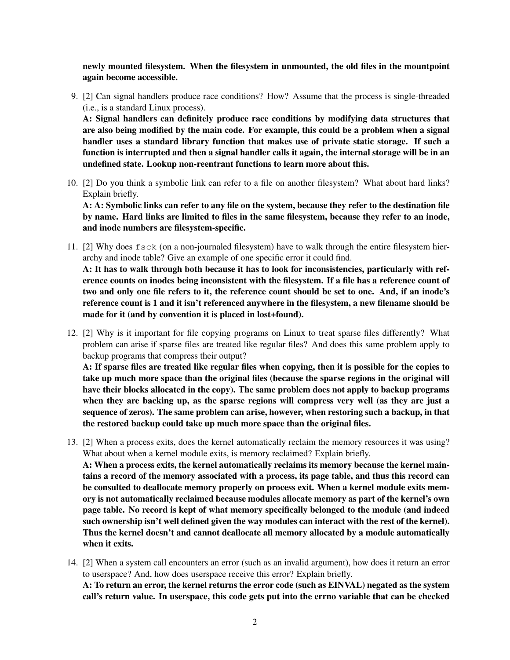newly mounted filesystem. When the filesystem in unmounted, the old files in the mountpoint again become accessible.

- 9. [2] Can signal handlers produce race conditions? How? Assume that the process is single-threaded (i.e., is a standard Linux process). A: Signal handlers can definitely produce race conditions by modifying data structures that are also being modified by the main code. For example, this could be a problem when a signal handler uses a standard library function that makes use of private static storage. If such a function is interrupted and then a signal handler calls it again, the internal storage will be in an
- 10. [2] Do you think a symbolic link can refer to a file on another filesystem? What about hard links? Explain briefly.

undefined state. Lookup non-reentrant functions to learn more about this.

A: A: Symbolic links can refer to any file on the system, because they refer to the destination file by name. Hard links are limited to files in the same filesystem, because they refer to an inode, and inode numbers are filesystem-specific.

11. [2] Why does fsck (on a non-journaled filesystem) have to walk through the entire filesystem hierarchy and inode table? Give an example of one specific error it could find.

A: It has to walk through both because it has to look for inconsistencies, particularly with reference counts on inodes being inconsistent with the filesystem. If a file has a reference count of two and only one file refers to it, the reference count should be set to one. And, if an inode's reference count is 1 and it isn't referenced anywhere in the filesystem, a new filename should be made for it (and by convention it is placed in lost+found).

12. [2] Why is it important for file copying programs on Linux to treat sparse files differently? What problem can arise if sparse files are treated like regular files? And does this same problem apply to backup programs that compress their output?

A: If sparse files are treated like regular files when copying, then it is possible for the copies to take up much more space than the original files (because the sparse regions in the original will have their blocks allocated in the copy). The same problem does not apply to backup programs when they are backing up, as the sparse regions will compress very well (as they are just a sequence of zeros). The same problem can arise, however, when restoring such a backup, in that the restored backup could take up much more space than the original files.

- 13. [2] When a process exits, does the kernel automatically reclaim the memory resources it was using? What about when a kernel module exits, is memory reclaimed? Explain briefly. A: When a process exits, the kernel automatically reclaims its memory because the kernel maintains a record of the memory associated with a process, its page table, and thus this record can be consulted to deallocate memory properly on process exit. When a kernel module exits memory is not automatically reclaimed because modules allocate memory as part of the kernel's own page table. No record is kept of what memory specifically belonged to the module (and indeed such ownership isn't well defined given the way modules can interact with the rest of the kernel). Thus the kernel doesn't and cannot deallocate all memory allocated by a module automatically when it exits.
- 14. [2] When a system call encounters an error (such as an invalid argument), how does it return an error to userspace? And, how does userspace receive this error? Explain briefly. A: To return an error, the kernel returns the error code (such as EINVAL) negated as the system

call's return value. In userspace, this code gets put into the errno variable that can be checked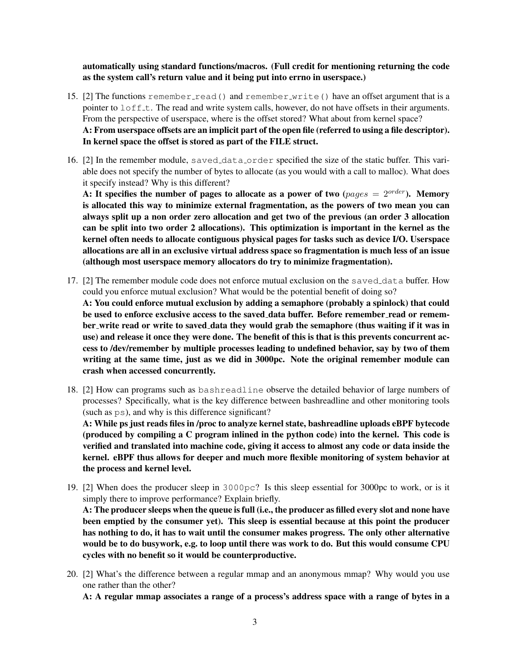automatically using standard functions/macros. (Full credit for mentioning returning the code as the system call's return value and it being put into errno in userspace.)

- 15. [2] The functions remember read() and remember write() have an offset argument that is a pointer to  $\text{Loff}\text{-}t$ . The read and write system calls, however, do not have offsets in their arguments. From the perspective of userspace, where is the offset stored? What about from kernel space? A: From userspace offsets are an implicit part of the open file (referred to using a file descriptor). In kernel space the offset is stored as part of the FILE struct.
- 16. [2] In the remember module, saved data order specified the size of the static buffer. This variable does not specify the number of bytes to allocate (as you would with a call to malloc). What does it specify instead? Why is this different?

A: It specifies the number of pages to allocate as a power of two (pages  $= 2^{order}$ ). Memory is allocated this way to minimize external fragmentation, as the powers of two mean you can always split up a non order zero allocation and get two of the previous (an order 3 allocation can be split into two order 2 allocations). This optimization is important in the kernel as the kernel often needs to allocate contiguous physical pages for tasks such as device I/O. Userspace allocations are all in an exclusive virtual address space so fragmentation is much less of an issue (although most userspace memory allocators do try to minimize fragmentation).

- 17. [2] The remember module code does not enforce mutual exclusion on the saved data buffer. How could you enforce mutual exclusion? What would be the potential benefit of doing so? A: You could enforce mutual exclusion by adding a semaphore (probably a spinlock) that could be used to enforce exclusive access to the saved data buffer. Before remember read or remember\_write read or write to saved\_data they would grab the semaphore (thus waiting if it was in use) and release it once they were done. The benefit of this is that is this prevents concurrent access to /dev/remember by multiple processes leading to undefined behavior, say by two of them writing at the same time, just as we did in 3000pc. Note the original remember module can crash when accessed concurrently.
- 18. [2] How can programs such as bashreadline observe the detailed behavior of large numbers of processes? Specifically, what is the key difference between bashreadline and other monitoring tools (such as ps), and why is this difference significant?

A: While ps just reads files in /proc to analyze kernel state, bashreadline uploads eBPF bytecode (produced by compiling a C program inlined in the python code) into the kernel. This code is verified and translated into machine code, giving it access to almost any code or data inside the kernel. eBPF thus allows for deeper and much more flexible monitoring of system behavior at the process and kernel level.

19. [2] When does the producer sleep in 3000pc? Is this sleep essential for 3000pc to work, or is it simply there to improve performance? Explain briefly.

A: The producer sleeps when the queue is full (i.e., the producer as filled every slot and none have been emptied by the consumer yet). This sleep is essential because at this point the producer has nothing to do, it has to wait until the consumer makes progress. The only other alternative would be to do busywork, e.g. to loop until there was work to do. But this would consume CPU cycles with no benefit so it would be counterproductive.

20. [2] What's the difference between a regular mmap and an anonymous mmap? Why would you use one rather than the other?

A: A regular mmap associates a range of a process's address space with a range of bytes in a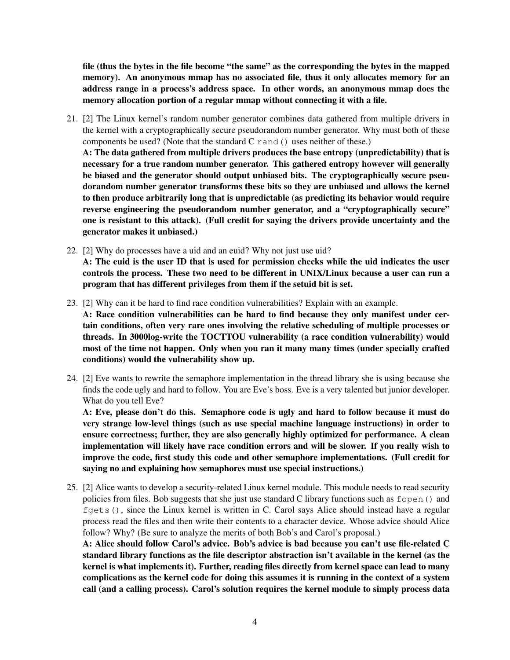file (thus the bytes in the file become "the same" as the corresponding the bytes in the mapped memory). An anonymous mmap has no associated file, thus it only allocates memory for an address range in a process's address space. In other words, an anonymous mmap does the memory allocation portion of a regular mmap without connecting it with a file.

21. [2] The Linux kernel's random number generator combines data gathered from multiple drivers in the kernel with a cryptographically secure pseudorandom number generator. Why must both of these components be used? (Note that the standard C rand() uses neither of these.)

A: The data gathered from multiple drivers produces the base entropy (unpredictability) that is necessary for a true random number generator. This gathered entropy however will generally be biased and the generator should output unbiased bits. The cryptographically secure pseudorandom number generator transforms these bits so they are unbiased and allows the kernel to then produce arbitrarily long that is unpredictable (as predicting its behavior would require reverse engineering the pseudorandom number generator, and a "cryptographically secure" one is resistant to this attack). (Full credit for saying the drivers provide uncertainty and the generator makes it unbiased.)

- 22. [2] Why do processes have a uid and an euid? Why not just use uid? A: The euid is the user ID that is used for permission checks while the uid indicates the user controls the process. These two need to be different in UNIX/Linux because a user can run a program that has different privileges from them if the setuid bit is set.
- 23. [2] Why can it be hard to find race condition vulnerabilities? Explain with an example.

A: Race condition vulnerabilities can be hard to find because they only manifest under certain conditions, often very rare ones involving the relative scheduling of multiple processes or threads. In 3000log-write the TOCTTOU vulnerability (a race condition vulnerability) would most of the time not happen. Only when you ran it many many times (under specially crafted conditions) would the vulnerability show up.

24. [2] Eve wants to rewrite the semaphore implementation in the thread library she is using because she finds the code ugly and hard to follow. You are Eve's boss. Eve is a very talented but junior developer. What do you tell Eve?

A: Eve, please don't do this. Semaphore code is ugly and hard to follow because it must do very strange low-level things (such as use special machine language instructions) in order to ensure correctness; further, they are also generally highly optimized for performance. A clean implementation will likely have race condition errors and will be slower. If you really wish to improve the code, first study this code and other semaphore implementations. (Full credit for saying no and explaining how semaphores must use special instructions.)

25. [2] Alice wants to develop a security-related Linux kernel module. This module needs to read security policies from files. Bob suggests that she just use standard C library functions such as fopen() and fgets(), since the Linux kernel is written in C. Carol says Alice should instead have a regular process read the files and then write their contents to a character device. Whose advice should Alice follow? Why? (Be sure to analyze the merits of both Bob's and Carol's proposal.)

A: Alice should follow Carol's advice. Bob's advice is bad because you can't use file-related C standard library functions as the file descriptor abstraction isn't available in the kernel (as the kernel is what implements it). Further, reading files directly from kernel space can lead to many complications as the kernel code for doing this assumes it is running in the context of a system call (and a calling process). Carol's solution requires the kernel module to simply process data